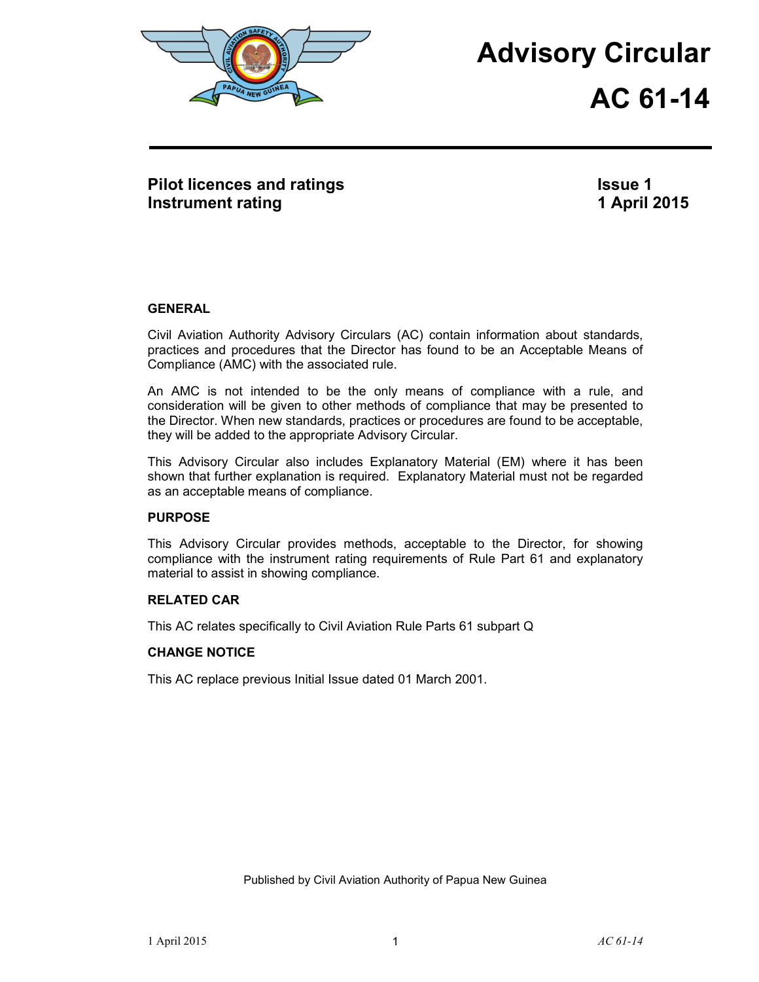

# **Advisory Circular AC 61-14**

**Pilot licences and ratings Instrument rating** 

**Issue 1 1 April 2015**

### **GENERAL**

Civil Aviation Authority Advisory Circulars (AC) contain information about standards, practices and procedures that the Director has found to be an Acceptable Means of Compliance (AMC) with the associated rule.

An AMC is not intended to be the only means of compliance with a rule, and consideration will be given to other methods of compliance that may be presented to the Director. When new standards, practices or procedures are found to be acceptable, they will be added to the appropriate Advisory Circular.

This Advisory Circular also includes Explanatory Material (EM) where it has been shown that further explanation is required. Explanatory Material must not be regarded as an acceptable means of compliance.

### **PURPOSE**

This Advisory Circular provides methods, acceptable to the Director, for showing compliance with the instrument rating requirements of Rule Part 61 and explanatory material to assist in showing compliance.

### **RELATED CAR**

This AC relates specifically to Civil Aviation Rule Parts 61 subpart Q

### **CHANGE NOTICE**

This AC replace previous Initial Issue dated 01 March 2001.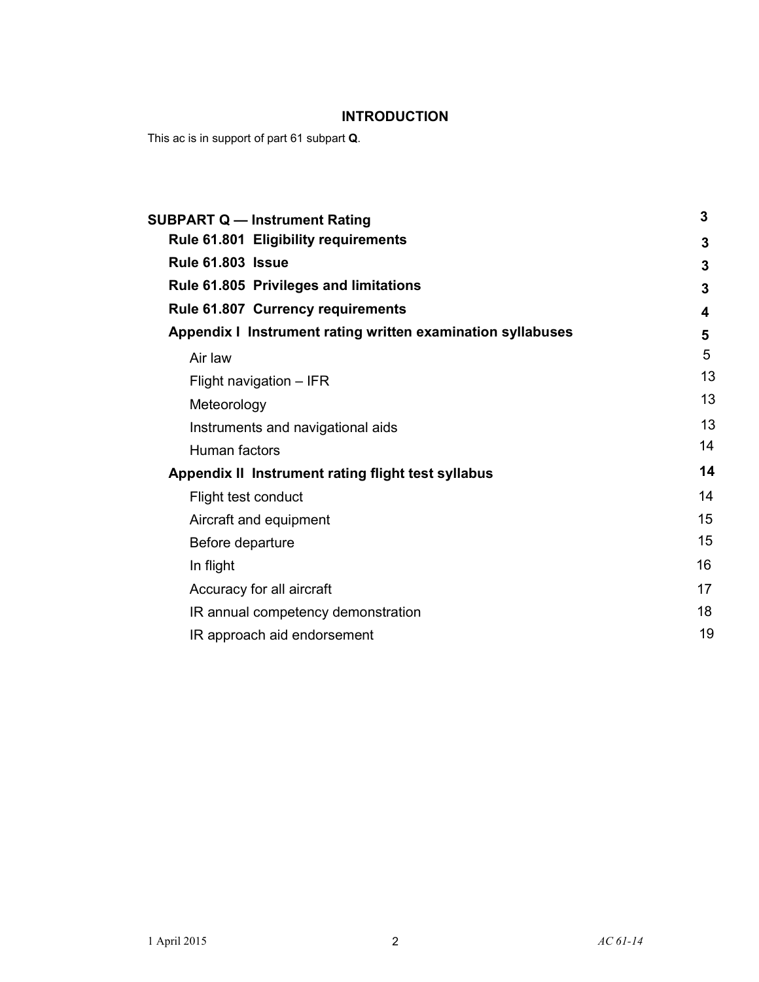# **INTRODUCTION**

This ac is in support of part 61 subpart **Q**.

| Rule 61.801 Eligibility requirements<br>3<br><b>Rule 61.803 Issue</b><br>3<br>Rule 61.805 Privileges and limitations<br>3<br>Rule 61.807 Currency requirements<br>4<br>Appendix I Instrument rating written examination syllabuses<br>5<br>5<br>Air law<br>13<br>Flight navigation - IFR<br>13<br>Meteorology<br>13<br>Instruments and navigational aids<br>14<br>Human factors<br>14<br>Appendix II Instrument rating flight test syllabus<br>14<br>Flight test conduct<br>15<br>Aircraft and equipment<br>15<br>Before departure<br>16<br>In flight<br>17<br>Accuracy for all aircraft<br>18<br>IR annual competency demonstration<br>19<br>IR approach aid endorsement | <b>SUBPART Q - Instrument Rating</b> | 3 |
|---------------------------------------------------------------------------------------------------------------------------------------------------------------------------------------------------------------------------------------------------------------------------------------------------------------------------------------------------------------------------------------------------------------------------------------------------------------------------------------------------------------------------------------------------------------------------------------------------------------------------------------------------------------------------|--------------------------------------|---|
|                                                                                                                                                                                                                                                                                                                                                                                                                                                                                                                                                                                                                                                                           |                                      |   |
|                                                                                                                                                                                                                                                                                                                                                                                                                                                                                                                                                                                                                                                                           |                                      |   |
|                                                                                                                                                                                                                                                                                                                                                                                                                                                                                                                                                                                                                                                                           |                                      |   |
|                                                                                                                                                                                                                                                                                                                                                                                                                                                                                                                                                                                                                                                                           |                                      |   |
|                                                                                                                                                                                                                                                                                                                                                                                                                                                                                                                                                                                                                                                                           |                                      |   |
|                                                                                                                                                                                                                                                                                                                                                                                                                                                                                                                                                                                                                                                                           |                                      |   |
|                                                                                                                                                                                                                                                                                                                                                                                                                                                                                                                                                                                                                                                                           |                                      |   |
|                                                                                                                                                                                                                                                                                                                                                                                                                                                                                                                                                                                                                                                                           |                                      |   |
|                                                                                                                                                                                                                                                                                                                                                                                                                                                                                                                                                                                                                                                                           |                                      |   |
|                                                                                                                                                                                                                                                                                                                                                                                                                                                                                                                                                                                                                                                                           |                                      |   |
|                                                                                                                                                                                                                                                                                                                                                                                                                                                                                                                                                                                                                                                                           |                                      |   |
|                                                                                                                                                                                                                                                                                                                                                                                                                                                                                                                                                                                                                                                                           |                                      |   |
|                                                                                                                                                                                                                                                                                                                                                                                                                                                                                                                                                                                                                                                                           |                                      |   |
|                                                                                                                                                                                                                                                                                                                                                                                                                                                                                                                                                                                                                                                                           |                                      |   |
|                                                                                                                                                                                                                                                                                                                                                                                                                                                                                                                                                                                                                                                                           |                                      |   |
|                                                                                                                                                                                                                                                                                                                                                                                                                                                                                                                                                                                                                                                                           |                                      |   |
|                                                                                                                                                                                                                                                                                                                                                                                                                                                                                                                                                                                                                                                                           |                                      |   |
|                                                                                                                                                                                                                                                                                                                                                                                                                                                                                                                                                                                                                                                                           |                                      |   |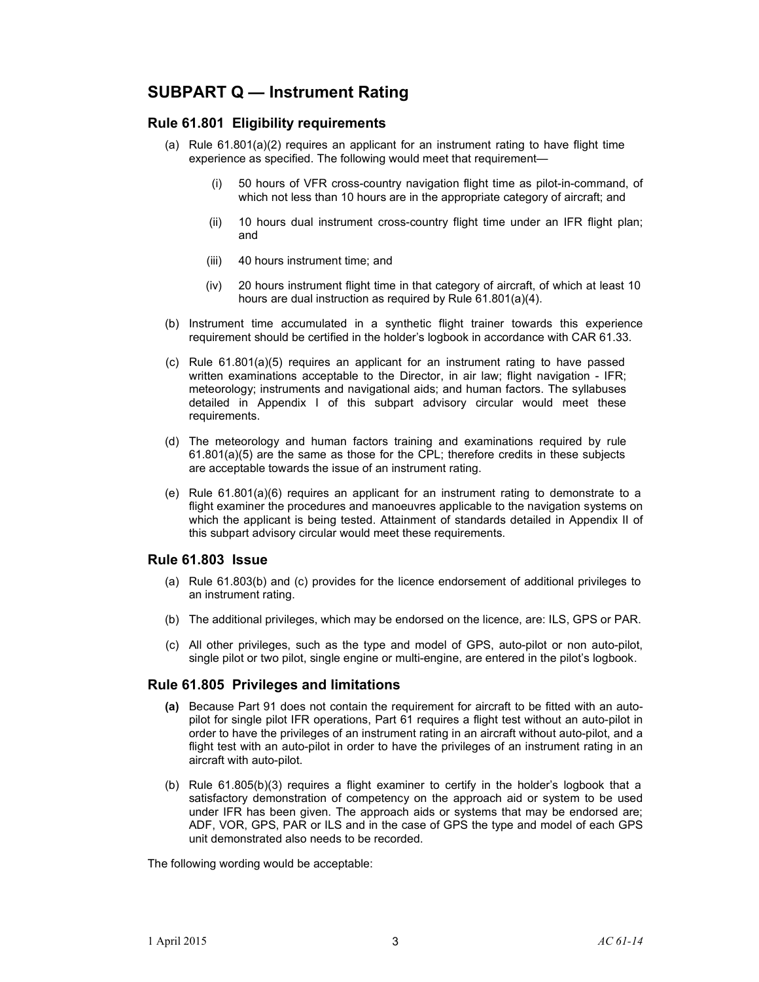# **SUBPART Q — Instrument Rating**

### **Rule 61.801 Eligibility requirements**

- (a) Rule 61.801(a)(2) requires an applicant for an instrument rating to have flight time experience as specified. The following would meet that requirement—
	- (i) 50 hours of VFR cross-country navigation flight time as pilot-in-command, of which not less than 10 hours are in the appropriate category of aircraft; and
	- (ii) 10 hours dual instrument cross-country flight time under an IFR flight plan; and
	- (iii) 40 hours instrument time; and
	- (iv) 20 hours instrument flight time in that category of aircraft, of which at least 10 hours are dual instruction as required by Rule 61.801(a)(4).
- (b) Instrument time accumulated in a synthetic flight trainer towards this experience requirement should be certified in the holder's logbook in accordance with CAR 61.33.
- (c) Rule 61.801(a)(5) requires an applicant for an instrument rating to have passed written examinations acceptable to the Director, in air law; flight navigation - IFR; meteorology; instruments and navigational aids; and human factors. The syllabuses detailed in Appendix I of this subpart advisory circular would meet these requirements.
- (d) The meteorology and human factors training and examinations required by rule  $61.801(a)(5)$  are the same as those for the CPL; therefore credits in these subjects are acceptable towards the issue of an instrument rating.
- (e) Rule 61.801(a)(6) requires an applicant for an instrument rating to demonstrate to a flight examiner the procedures and manoeuvres applicable to the navigation systems on which the applicant is being tested. Attainment of standards detailed in Appendix II of this subpart advisory circular would meet these requirements.

### **Rule 61.803 Issue**

- (a) Rule 61.803(b) and (c) provides for the licence endorsement of additional privileges to an instrument rating.
- (b) The additional privileges, which may be endorsed on the licence, are: ILS, GPS or PAR.
- (c) All other privileges, such as the type and model of GPS, auto-pilot or non auto-pilot, single pilot or two pilot, single engine or multi-engine, are entered in the pilot's logbook.

### **Rule 61.805 Privileges and limitations**

- **(a)** Because Part 91 does not contain the requirement for aircraft to be fitted with an autopilot for single pilot IFR operations, Part 61 requires a flight test without an auto-pilot in order to have the privileges of an instrument rating in an aircraft without auto-pilot, and a flight test with an auto-pilot in order to have the privileges of an instrument rating in an aircraft with auto-pilot.
- (b) Rule 61.805(b)(3) requires a flight examiner to certify in the holder's logbook that a satisfactory demonstration of competency on the approach aid or system to be used under IFR has been given. The approach aids or systems that may be endorsed are; ADF, VOR, GPS, PAR or ILS and in the case of GPS the type and model of each GPS unit demonstrated also needs to be recorded.

The following wording would be acceptable: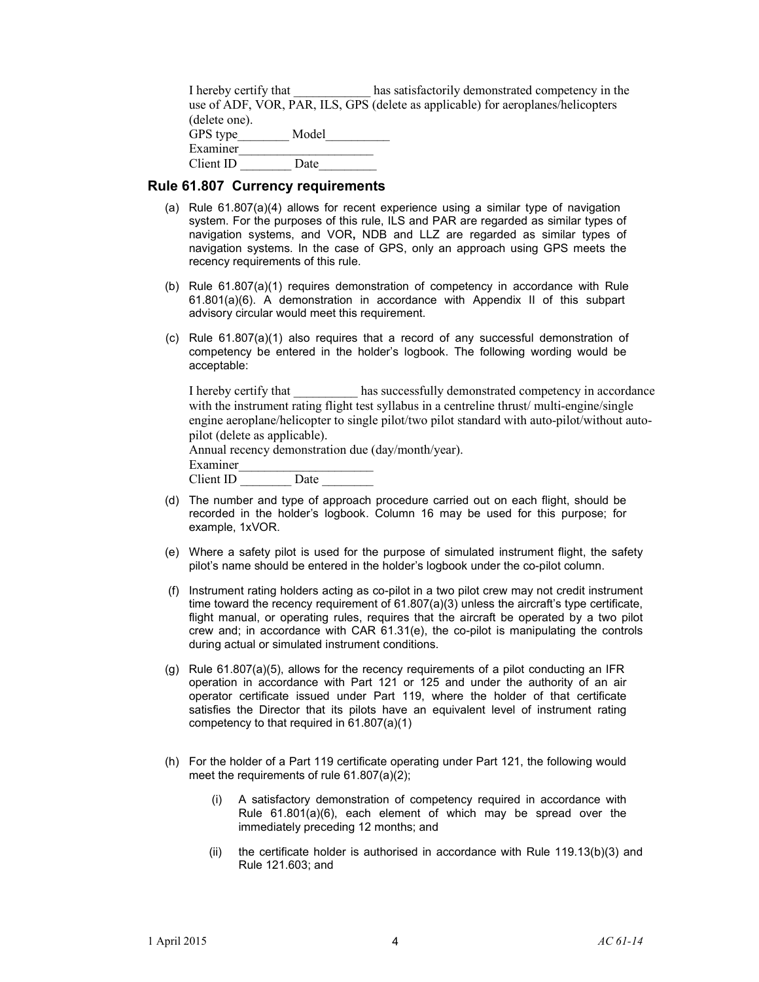| I hereby certify that | has satisfactorily demonstrated competency in the                                |
|-----------------------|----------------------------------------------------------------------------------|
|                       | use of ADF, VOR, PAR, ILS, GPS (delete as applicable) for aeroplanes/helicopters |
| (delete one).         |                                                                                  |
| GPS type<br>Model     |                                                                                  |
| Examiner              |                                                                                  |
| Client ID<br>Date     |                                                                                  |

### **Rule 61.807 Currency requirements**

- (a) Rule 61.807(a)(4) allows for recent experience using a similar type of navigation system. For the purposes of this rule, ILS and PAR are regarded as similar types of navigation systems, and VOR**,** NDB and LLZ are regarded as similar types of navigation systems. In the case of GPS, only an approach using GPS meets the recency requirements of this rule.
- (b) Rule 61.807(a)(1) requires demonstration of competency in accordance with Rule 61.801(a)(6). A demonstration in accordance with Appendix II of this subpart advisory circular would meet this requirement.
- (c) Rule 61.807(a)(1) also requires that a record of any successful demonstration of competency be entered in the holder's logbook. The following wording would be acceptable:

| I hereby certify that                                                                        | has successfully demonstrated competency in accordance                                     |  |  |
|----------------------------------------------------------------------------------------------|--------------------------------------------------------------------------------------------|--|--|
|                                                                                              | with the instrument rating flight test syllabus in a centreline thrust multi-engine/single |  |  |
| engine aeroplane/helicopter to single pilot/two pilot standard with auto-pilot/without auto- |                                                                                            |  |  |
| pilot (delete as applicable).                                                                |                                                                                            |  |  |
| Annual recency demonstration due (day/month/year).                                           |                                                                                            |  |  |
| Examiner                                                                                     |                                                                                            |  |  |
| Client ID<br>Date                                                                            |                                                                                            |  |  |

- (d) The number and type of approach procedure carried out on each flight, should be recorded in the holder's logbook. Column 16 may be used for this purpose; for example, 1xVOR.
- (e) Where a safety pilot is used for the purpose of simulated instrument flight, the safety pilot's name should be entered in the holder's logbook under the co-pilot column.
- (f) Instrument rating holders acting as co-pilot in a two pilot crew may not credit instrument time toward the recency requirement of 61.807(a)(3) unless the aircraft's type certificate, flight manual, or operating rules, requires that the aircraft be operated by a two pilot crew and; in accordance with CAR 61.31(e), the co-pilot is manipulating the controls during actual or simulated instrument conditions.
- (g) Rule 61.807(a)(5), allows for the recency requirements of a pilot conducting an IFR operation in accordance with Part 121 or 125 and under the authority of an air operator certificate issued under Part 119, where the holder of that certificate satisfies the Director that its pilots have an equivalent level of instrument rating competency to that required in 61.807(a)(1)
- (h) For the holder of a Part 119 certificate operating under Part 121, the following would meet the requirements of rule 61.807(a)(2);
	- (i) A satisfactory demonstration of competency required in accordance with Rule 61.801(a)(6), each element of which may be spread over the immediately preceding 12 months; and
	- (ii) the certificate holder is authorised in accordance with Rule 119.13(b)(3) and Rule 121.603; and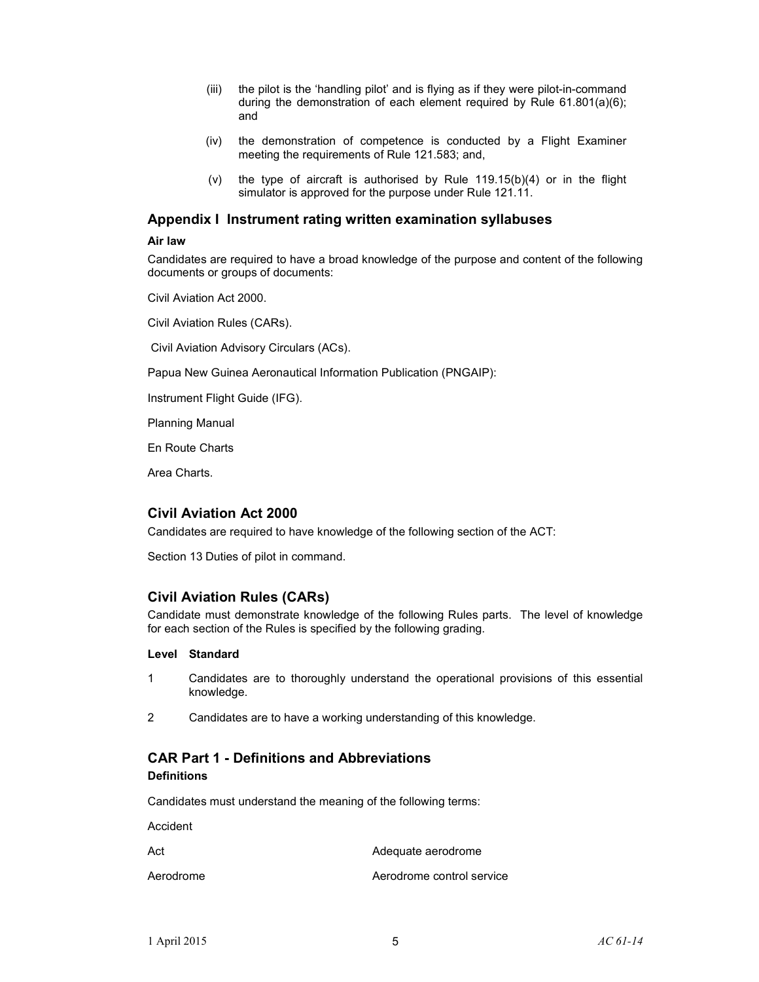- (iii) the pilot is the 'handling pilot' and is flying as if they were pilot-in-command during the demonstration of each element required by Rule 61.801(a)(6); and
- (iv) the demonstration of competence is conducted by a Flight Examiner meeting the requirements of Rule 121.583; and,
- (v) the type of aircraft is authorised by Rule  $119.15(b)(4)$  or in the flight simulator is approved for the purpose under Rule 121.11.

### **Appendix I Instrument rating written examination syllabuses**

### **Air law**

Candidates are required to have a broad knowledge of the purpose and content of the following documents or groups of documents:

Civil Aviation Act 2000.

Civil Aviation Rules (CARs).

Civil Aviation Advisory Circulars (ACs).

Papua New Guinea Aeronautical Information Publication (PNGAIP):

Instrument Flight Guide (IFG).

Planning Manual

En Route Charts

Area Charts.

### **Civil Aviation Act 2000**

Candidates are required to have knowledge of the following section of the ACT:

Section 13 Duties of pilot in command.

### **Civil Aviation Rules (CARs)**

Candidate must demonstrate knowledge of the following Rules parts. The level of knowledge for each section of the Rules is specified by the following grading.

### **Level Standard**

- 1 Candidates are to thoroughly understand the operational provisions of this essential knowledge.
- 2 Candidates are to have a working understanding of this knowledge.

# **CAR Part 1 - Definitions and Abbreviations**

### **Definitions**

Candidates must understand the meaning of the following terms:

Accident

Act Adequate aerodrome

Aerodrome Aerodrome control service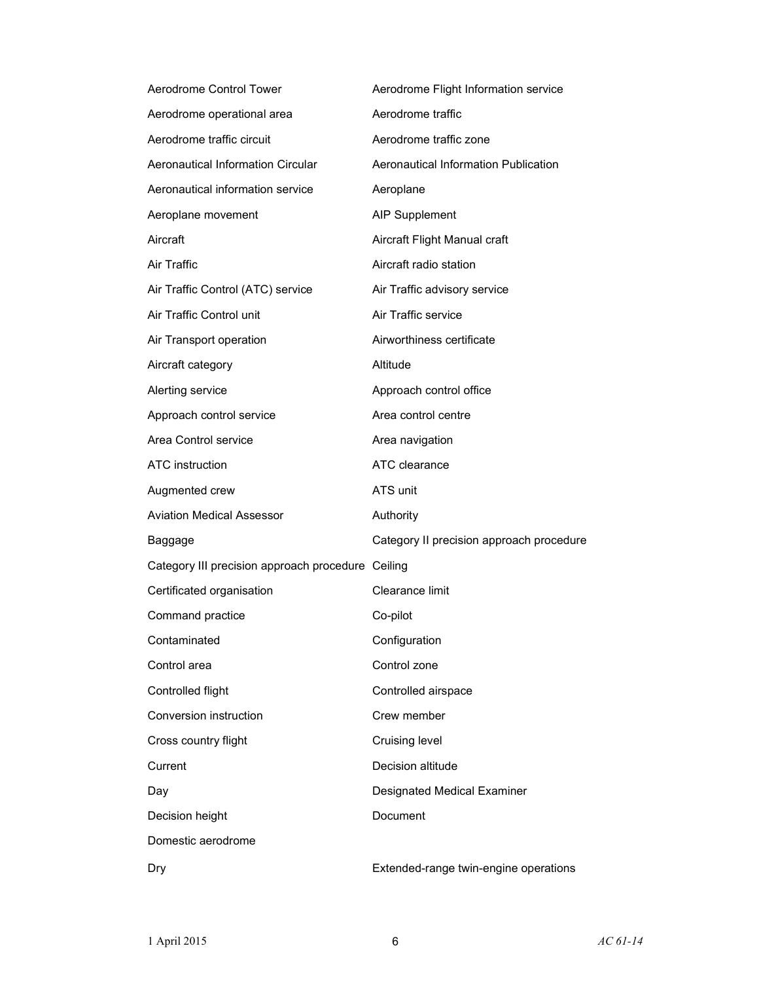| Aerodrome Control Tower                           | Aerodrome Flight Information service     |
|---------------------------------------------------|------------------------------------------|
| Aerodrome operational area                        | Aerodrome traffic                        |
| Aerodrome traffic circuit                         | Aerodrome traffic zone                   |
| Aeronautical Information Circular                 | Aeronautical Information Publication     |
| Aeronautical information service                  | Aeroplane                                |
| Aeroplane movement                                | <b>AIP Supplement</b>                    |
| Aircraft                                          | Aircraft Flight Manual craft             |
| Air Traffic                                       | Aircraft radio station                   |
| Air Traffic Control (ATC) service                 | Air Traffic advisory service             |
| Air Traffic Control unit                          | Air Traffic service                      |
| Air Transport operation                           | Airworthiness certificate                |
| Aircraft category                                 | Altitude                                 |
| Alerting service                                  | Approach control office                  |
| Approach control service                          | Area control centre                      |
| Area Control service                              | Area navigation                          |
| ATC instruction                                   | ATC clearance                            |
|                                                   |                                          |
| Augmented crew                                    | ATS unit                                 |
| <b>Aviation Medical Assessor</b>                  | Authority                                |
| Baggage                                           | Category II precision approach procedure |
| Category III precision approach procedure Ceiling |                                          |
| Certificated organisation                         | Clearance limit                          |
| Command practice                                  | Co-pilot                                 |
| Contaminated                                      | Configuration                            |
| Control area                                      | Control zone                             |
| Controlled flight                                 | Controlled airspace                      |
| Conversion instruction                            | Crew member                              |
| Cross country flight                              | Cruising level                           |
| Current                                           | Decision altitude                        |
| Day                                               | Designated Medical Examiner              |
| Decision height                                   | Document                                 |
| Domestic aerodrome                                |                                          |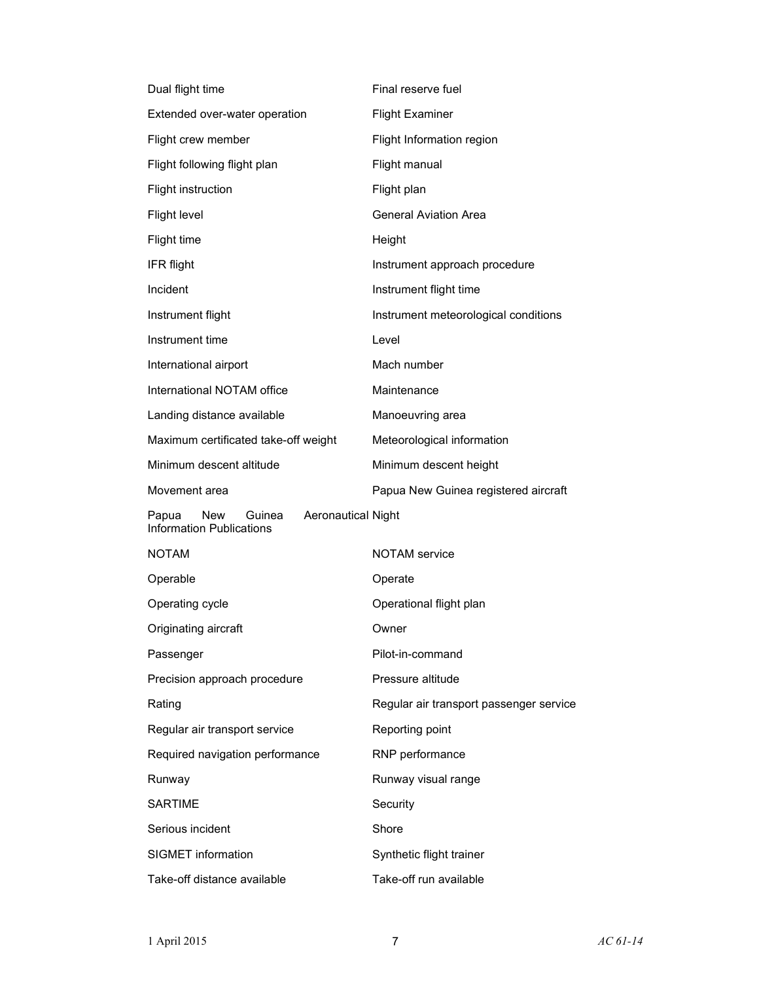| Dual flight time                                                                       | Final reserve fuel                      |
|----------------------------------------------------------------------------------------|-----------------------------------------|
| Extended over-water operation                                                          | <b>Flight Examiner</b>                  |
| Flight crew member                                                                     | Flight Information region               |
| Flight following flight plan                                                           | Flight manual                           |
| Flight instruction                                                                     | Flight plan                             |
| Flight level                                                                           | <b>General Aviation Area</b>            |
| Flight time                                                                            | Height                                  |
| IFR flight                                                                             | Instrument approach procedure           |
| Incident                                                                               | Instrument flight time                  |
| Instrument flight                                                                      | Instrument meteorological conditions    |
| Instrument time                                                                        | Level                                   |
| International airport                                                                  | Mach number                             |
| International NOTAM office                                                             | Maintenance                             |
| Landing distance available                                                             | Manoeuvring area                        |
| Maximum certificated take-off weight                                                   | Meteorological information              |
| Minimum descent altitude                                                               | Minimum descent height                  |
|                                                                                        |                                         |
| Movement area                                                                          | Papua New Guinea registered aircraft    |
| <b>Aeronautical Night</b><br>Papua<br>New<br>Guinea<br><b>Information Publications</b> |                                         |
| <b>NOTAM</b>                                                                           | <b>NOTAM</b> service                    |
| Operable                                                                               | Operate                                 |
| Operating cycle                                                                        | Operational flight plan                 |
| Originating aircraft                                                                   | Owner                                   |
| Passenger                                                                              | Pilot-in-command                        |
| Precision approach procedure                                                           | Pressure altitude                       |
| Rating                                                                                 | Regular air transport passenger service |
| Regular air transport service                                                          | Reporting point                         |
| Required navigation performance                                                        | RNP performance                         |
| Runway                                                                                 | Runway visual range                     |
| <b>SARTIME</b>                                                                         | Security                                |
| Serious incident                                                                       | Shore                                   |
| SIGMET information                                                                     | Synthetic flight trainer                |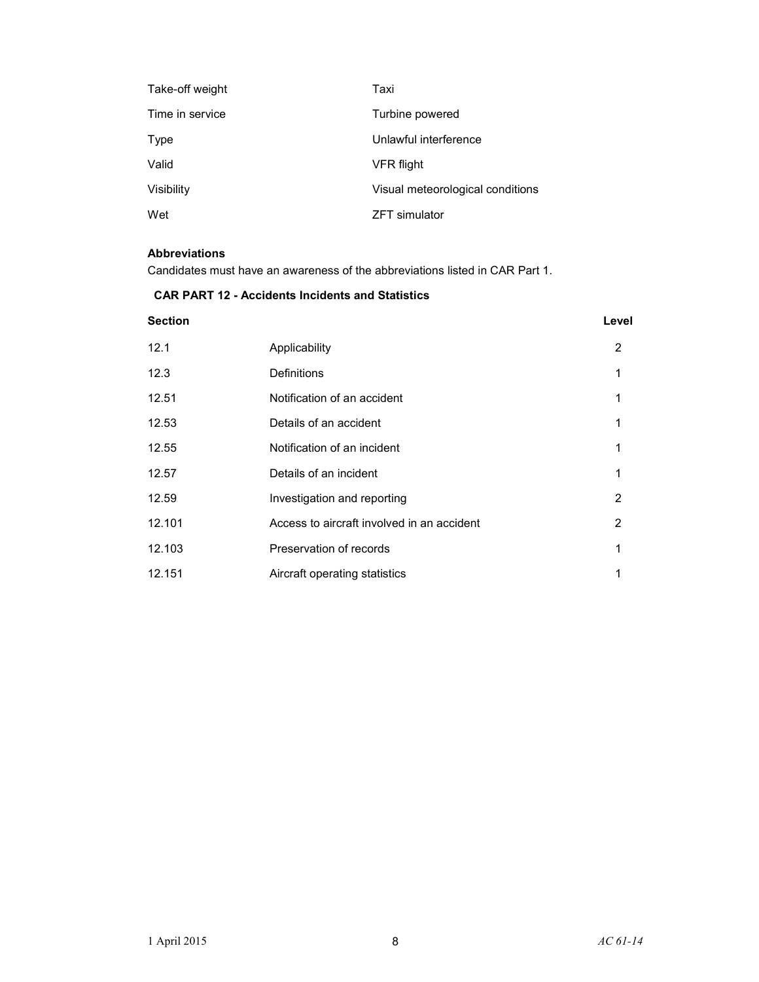| Take-off weight | Taxi                             |
|-----------------|----------------------------------|
| Time in service | Turbine powered                  |
| Type            | Unlawful interference            |
| Valid           | VFR flight                       |
| Visibility      | Visual meteorological conditions |
| Wet             | <b>ZFT</b> simulator             |

### **Abbreviations**

Candidates must have an awareness of the abbreviations listed in CAR Part 1.

### **CAR PART 12 - Accidents Incidents and Statistics**

# **Section Level** 12.1 Applicability 2 12.3 Definitions 1 12.51 Notification of an accident 1 12.53 Details of an accident 1 and 1 and 1 and 1 and 1 and 1 and 1 and 1 and 1 and 1 and 1 and 1 and 1 and 1 and 1 and 1 and 1 and 1 and 1 and 1 and 1 and 1 and 1 and 1 and 1 and 1 and 1 and 1 and 1 and 1 and 1 and 1 and 1 12.55 Notification of an incident 1 12.57 **Details of an incident 1 1** 12.59 Investigation and reporting 12.59 2 12.101 Access to aircraft involved in an accident 2 12.103 Preservation of records 1 12.151 Aircraft operating statistics 1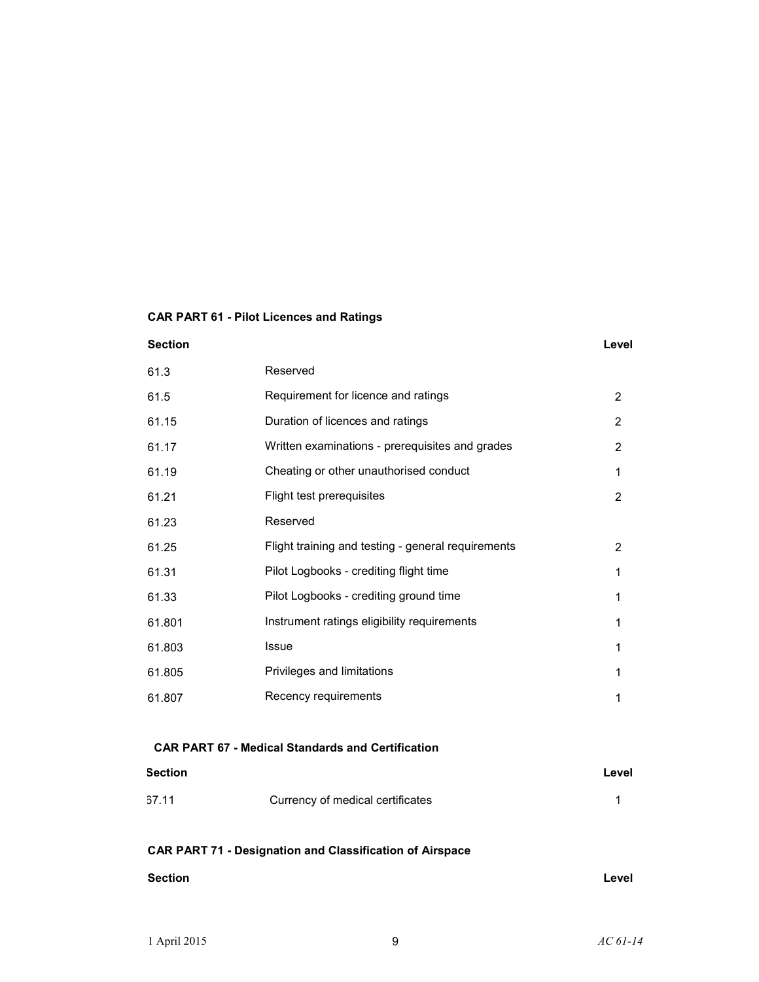# **CAR PART 61 - Pilot Licences and Ratings**

### **Section Level**

| 2              |
|----------------|
| 2              |
| 2              |
| 1              |
| 2              |
|                |
| $\overline{2}$ |
| 1              |
| 1              |
| 1              |
| 1              |
| 1              |
| 1              |
|                |

### **CAR PART 67 - Medical Standards and Certification**

| <b>Section</b> |                                  | Level |
|----------------|----------------------------------|-------|
| 67.11          | Currency of medical certificates |       |

# **CAR PART 71 - Designation and Classification of Airspace**

| <b>Section</b> | Level |
|----------------|-------|
|                |       |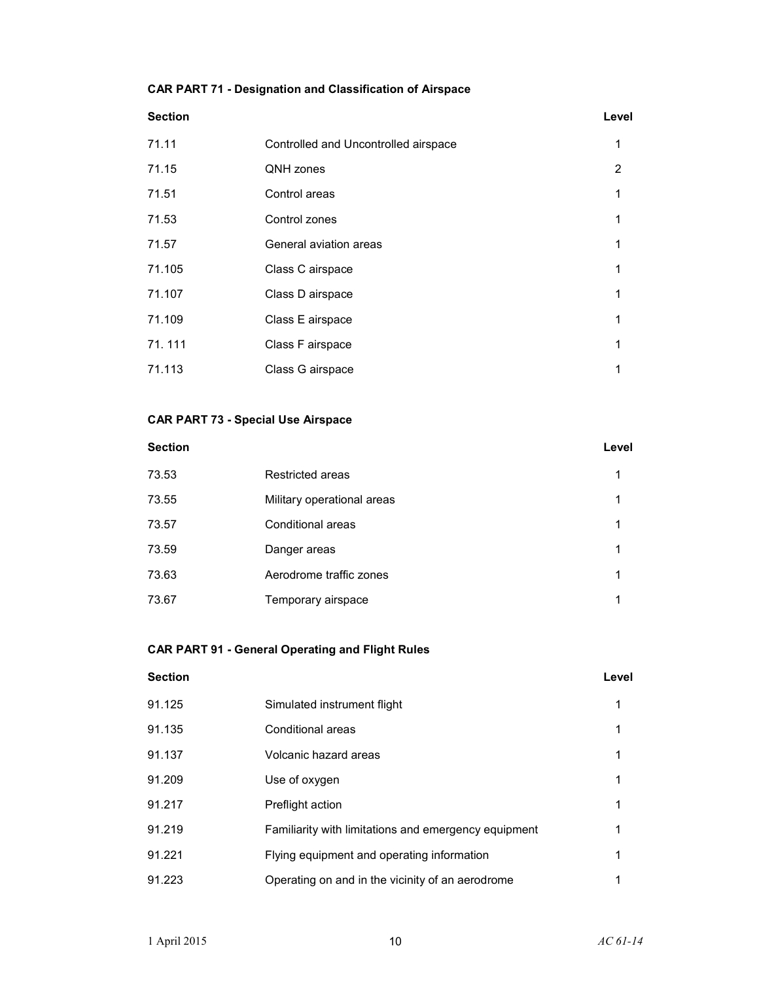### **CAR PART 71 - Designation and Classification of Airspace**

| Section |                                      | Level |
|---------|--------------------------------------|-------|
| 71.11   | Controlled and Uncontrolled airspace | 1     |
| 71.15   | QNH zones                            | 2     |
| 71.51   | Control areas                        | 1     |
| 71.53   | Control zones                        | 1     |
| 71.57   | General aviation areas               | 1     |
| 71.105  | Class C airspace                     | 1     |
| 71.107  | Class D airspace                     | 1     |
| 71.109  | Class E airspace                     | 1     |
| 71.111  | Class F airspace                     | 1     |

### **CAR PART 73 - Special Use Airspace**

| <b>Section</b> |                            | Level |
|----------------|----------------------------|-------|
| 73.53          | Restricted areas           | 1     |
| 73.55          | Military operational areas | 1     |
| 73.57          | Conditional areas          | 1     |
| 73.59          | Danger areas               | 1     |
| 73.63          | Aerodrome traffic zones    | 1     |
| 73.67          | Temporary airspace         | 1     |

71.113 Class G airspace 1

# **CAR PART 91 - General Operating and Flight Rules**

| <b>Section</b> |                                                      | Level |
|----------------|------------------------------------------------------|-------|
| 91.125         | Simulated instrument flight                          | 1     |
| 91.135         | Conditional areas                                    | 1     |
| 91.137         | Volcanic hazard areas                                | 1     |
| 91.209         | Use of oxygen                                        | 1     |
| 91.217         | Preflight action                                     | 1     |
| 91.219         | Familiarity with limitations and emergency equipment | 1     |
| 91.221         | Flying equipment and operating information           | 1     |
| 91.223         | Operating on and in the vicinity of an aerodrome     | 1     |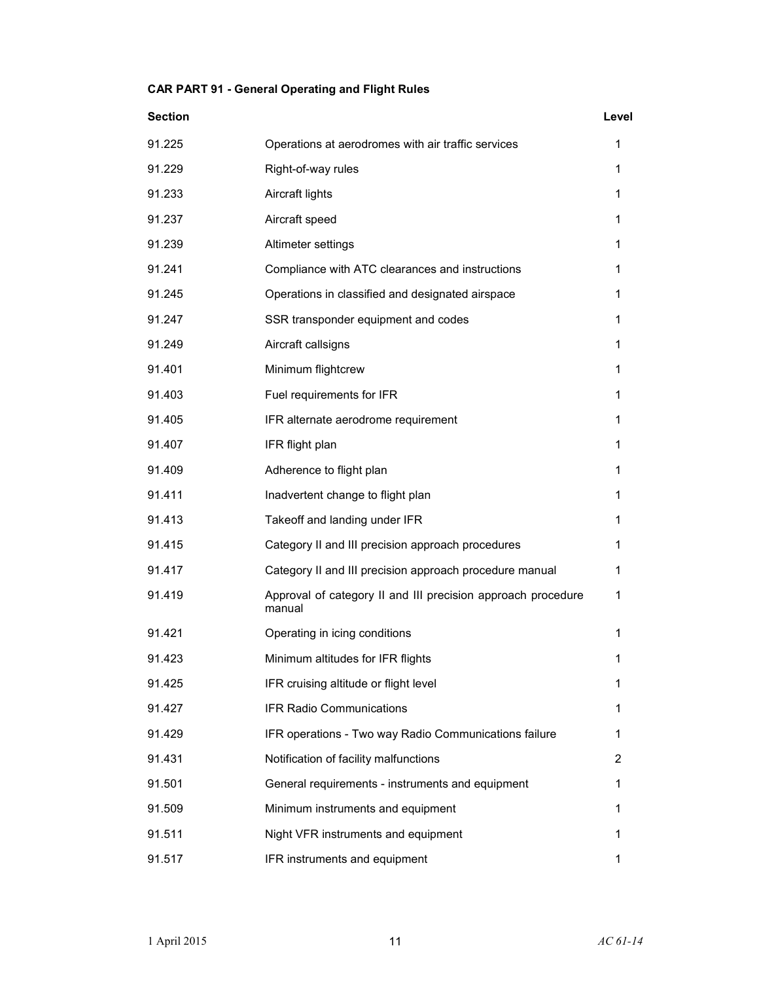## **CAR PART 91 - General Operating and Flight Rules**

| <b>Section</b> |                                                                        | Level |
|----------------|------------------------------------------------------------------------|-------|
| 91.225         | Operations at aerodromes with air traffic services                     | 1     |
| 91.229         | Right-of-way rules                                                     | 1     |
| 91.233         | Aircraft lights                                                        | 1     |
| 91.237         | Aircraft speed                                                         | 1     |
| 91.239         | Altimeter settings                                                     | 1     |
| 91.241         | Compliance with ATC clearances and instructions                        | 1     |
| 91.245         | Operations in classified and designated airspace                       | 1     |
| 91.247         | SSR transponder equipment and codes                                    | 1     |
| 91.249         | Aircraft callsigns                                                     | 1     |
| 91.401         | Minimum flightcrew                                                     | 1     |
| 91.403         | Fuel requirements for IFR                                              | 1     |
| 91.405         | IFR alternate aerodrome requirement                                    | 1     |
| 91.407         | IFR flight plan                                                        | 1     |
| 91.409         | Adherence to flight plan                                               | 1     |
| 91.411         | Inadvertent change to flight plan                                      | 1     |
| 91.413         | Takeoff and landing under IFR                                          | 1     |
| 91.415         | Category II and III precision approach procedures                      | 1     |
| 91.417         | Category II and III precision approach procedure manual                | 1     |
| 91.419         | Approval of category II and III precision approach procedure<br>manual | 1     |
| 91.421         | Operating in icing conditions                                          | 1     |
| 91.423         | Minimum altitudes for IFR flights                                      | 1     |
| 91.425         | IFR cruising altitude or flight level                                  | 1     |
| 91.427         | <b>IFR Radio Communications</b>                                        | 1     |
| 91.429         | IFR operations - Two way Radio Communications failure                  | 1     |
| 91.431         | Notification of facility malfunctions                                  | 2     |
| 91.501         | General requirements - instruments and equipment                       | 1     |
| 91.509         | Minimum instruments and equipment                                      | 1     |
| 91.511         | Night VFR instruments and equipment                                    | 1     |
| 91.517         | IFR instruments and equipment                                          | 1     |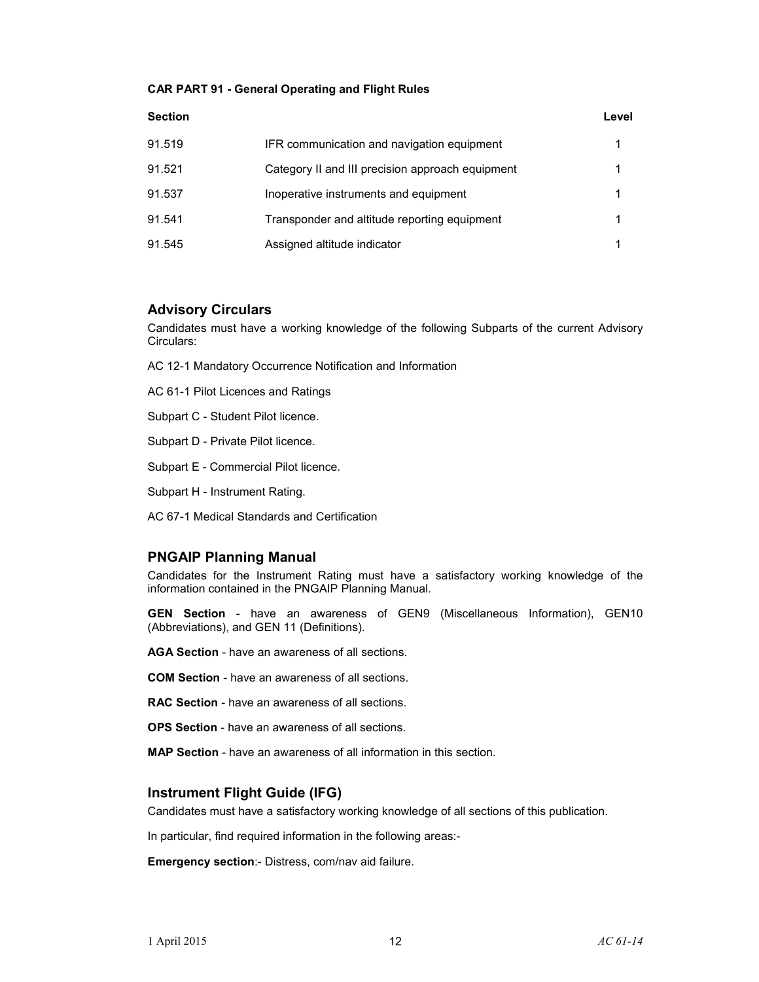### **CAR PART 91 - General Operating and Flight Rules**

| <b>Section</b> |                                                  | Level |
|----------------|--------------------------------------------------|-------|
| 91.519         | IFR communication and navigation equipment       |       |
| 91.521         | Category II and III precision approach equipment | 1     |
| 91.537         | Inoperative instruments and equipment            | 1     |
| 91.541         | Transponder and altitude reporting equipment     | 1     |
| 91.545         | Assigned altitude indicator                      |       |

### **Advisory Circulars**

Candidates must have a working knowledge of the following Subparts of the current Advisory Circulars:

AC 12-1 Mandatory Occurrence Notification and Information

AC 61-1 Pilot Licences and Ratings

Subpart C - Student Pilot licence.

Subpart D - Private Pilot licence.

Subpart E - Commercial Pilot licence.

Subpart H - Instrument Rating.

AC 67-1 Medical Standards and Certification

### **PNGAIP Planning Manual**

Candidates for the Instrument Rating must have a satisfactory working knowledge of the information contained in the PNGAIP Planning Manual.

**GEN Section** - have an awareness of GEN9 (Miscellaneous Information), GEN10 (Abbreviations), and GEN 11 (Definitions).

**AGA Section** - have an awareness of all sections.

**COM Section** - have an awareness of all sections.

**RAC Section** - have an awareness of all sections.

**OPS Section** - have an awareness of all sections.

**MAP Section** - have an awareness of all information in this section.

### **Instrument Flight Guide (IFG)**

Candidates must have a satisfactory working knowledge of all sections of this publication.

In particular, find required information in the following areas:-

**Emergency section**:- Distress, com/nav aid failure.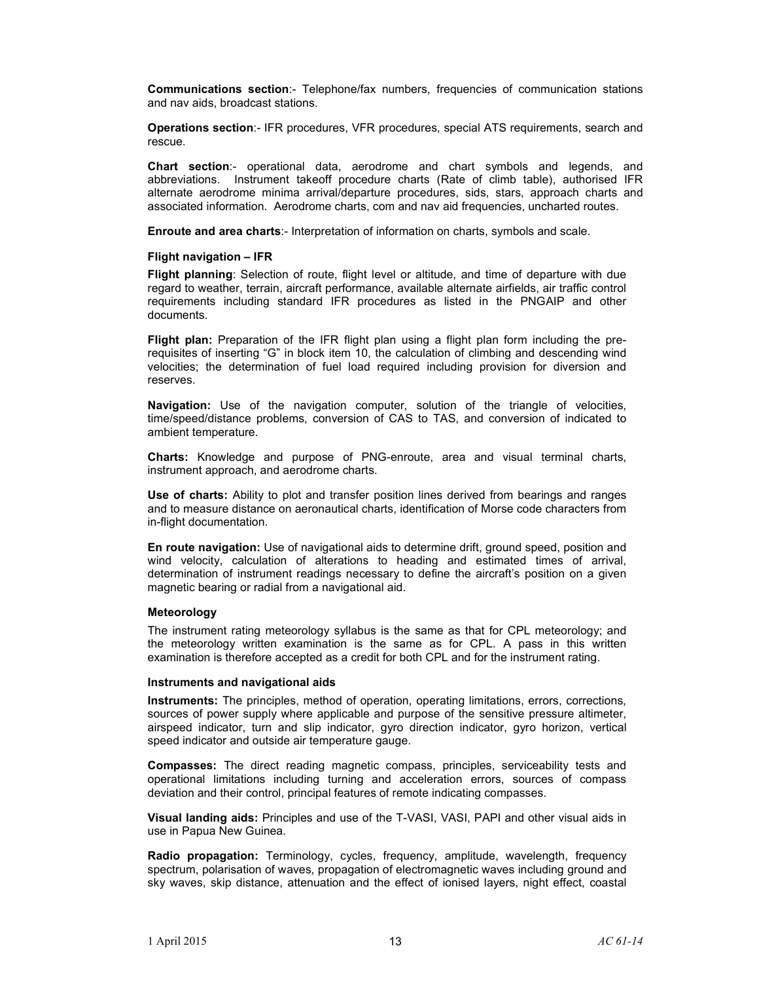**Communications section**:- Telephone/fax numbers, frequencies of communication stations and nav aids, broadcast stations.

**Operations section**:- IFR procedures, VFR procedures, special ATS requirements, search and rescue.

**Chart section**:- operational data, aerodrome and chart symbols and legends, and abbreviations. Instrument takeoff procedure charts (Rate of climb table), authorised IFR alternate aerodrome minima arrival/departure procedures, sids, stars, approach charts and associated information. Aerodrome charts, com and nav aid frequencies, uncharted routes.

**Enroute and area charts**:- Interpretation of information on charts, symbols and scale.

### **Flight navigation – IFR**

**Flight planning**: Selection of route, flight level or altitude, and time of departure with due regard to weather, terrain, aircraft performance, available alternate airfields, air traffic control requirements including standard IFR procedures as listed in the PNGAIP and other documents.

**Flight plan:** Preparation of the IFR flight plan using a flight plan form including the prerequisites of inserting "G" in block item 10, the calculation of climbing and descending wind velocities; the determination of fuel load required including provision for diversion and reserves.

**Navigation:** Use of the navigation computer, solution of the triangle of velocities, time/speed/distance problems, conversion of CAS to TAS, and conversion of indicated to ambient temperature.

**Charts:** Knowledge and purpose of PNG-enroute, area and visual terminal charts, instrument approach, and aerodrome charts.

**Use of charts:** Ability to plot and transfer position lines derived from bearings and ranges and to measure distance on aeronautical charts, identification of Morse code characters from in-flight documentation.

**En route navigation:** Use of navigational aids to determine drift, ground speed, position and wind velocity, calculation of alterations to heading and estimated times of arrival, determination of instrument readings necessary to define the aircraft's position on a given magnetic bearing or radial from a navigational aid.

### **Meteorology**

The instrument rating meteorology syllabus is the same as that for CPL meteorology; and the meteorology written examination is the same as for CPL. A pass in this written examination is therefore accepted as a credit for both CPL and for the instrument rating.

### **Instruments and navigational aids**

**Instruments:** The principles, method of operation, operating limitations, errors, corrections, sources of power supply where applicable and purpose of the sensitive pressure altimeter, airspeed indicator, turn and slip indicator, gyro direction indicator, gyro horizon, vertical speed indicator and outside air temperature gauge.

**Compasses:** The direct reading magnetic compass, principles, serviceability tests and operational limitations including turning and acceleration errors, sources of compass deviation and their control, principal features of remote indicating compasses.

**Visual landing aids:** Principles and use of the T-VASI, VASI, PAPI and other visual aids in use in Papua New Guinea.

**Radio propagation:** Terminology, cycles, frequency, amplitude, wavelength, frequency spectrum, polarisation of waves, propagation of electromagnetic waves including ground and sky waves, skip distance, attenuation and the effect of ionised layers, night effect, coastal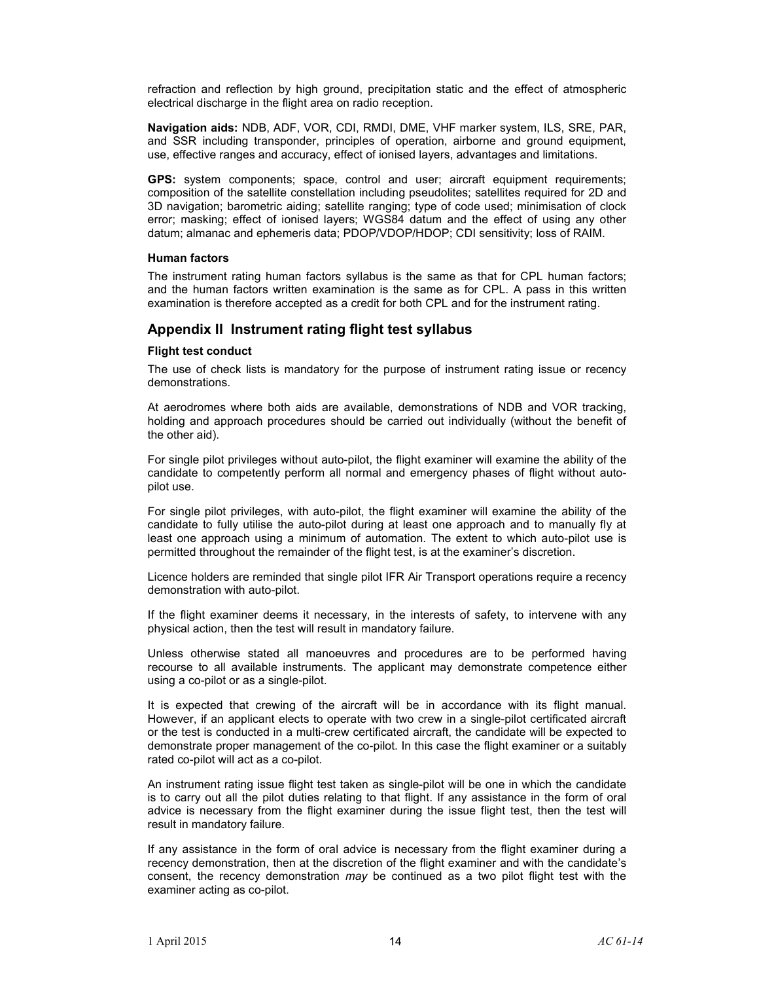refraction and reflection by high ground, precipitation static and the effect of atmospheric electrical discharge in the flight area on radio reception.

**Navigation aids:** NDB, ADF, VOR, CDI, RMDI, DME, VHF marker system, ILS, SRE, PAR, and SSR including transponder, principles of operation, airborne and ground equipment, use, effective ranges and accuracy, effect of ionised layers, advantages and limitations.

**GPS:** system components; space, control and user; aircraft equipment requirements; composition of the satellite constellation including pseudolites; satellites required for 2D and 3D navigation; barometric aiding; satellite ranging; type of code used; minimisation of clock error; masking; effect of ionised layers; WGS84 datum and the effect of using any other datum; almanac and ephemeris data; PDOP/VDOP/HDOP; CDI sensitivity; loss of RAIM.

### **Human factors**

The instrument rating human factors syllabus is the same as that for CPL human factors; and the human factors written examination is the same as for CPL. A pass in this written examination is therefore accepted as a credit for both CPL and for the instrument rating.

### **Appendix II Instrument rating flight test syllabus**

### **Flight test conduct**

The use of check lists is mandatory for the purpose of instrument rating issue or recency demonstrations.

At aerodromes where both aids are available, demonstrations of NDB and VOR tracking, holding and approach procedures should be carried out individually (without the benefit of the other aid).

For single pilot privileges without auto-pilot, the flight examiner will examine the ability of the candidate to competently perform all normal and emergency phases of flight without autopilot use.

For single pilot privileges, with auto-pilot, the flight examiner will examine the ability of the candidate to fully utilise the auto-pilot during at least one approach and to manually fly at least one approach using a minimum of automation. The extent to which auto-pilot use is permitted throughout the remainder of the flight test, is at the examiner's discretion.

Licence holders are reminded that single pilot IFR Air Transport operations require a recency demonstration with auto-pilot.

If the flight examiner deems it necessary, in the interests of safety, to intervene with any physical action, then the test will result in mandatory failure.

Unless otherwise stated all manoeuvres and procedures are to be performed having recourse to all available instruments. The applicant may demonstrate competence either using a co-pilot or as a single-pilot.

It is expected that crewing of the aircraft will be in accordance with its flight manual. However, if an applicant elects to operate with two crew in a single-pilot certificated aircraft or the test is conducted in a multi-crew certificated aircraft, the candidate will be expected to demonstrate proper management of the co-pilot. In this case the flight examiner or a suitably rated co-pilot will act as a co-pilot.

An instrument rating issue flight test taken as single-pilot will be one in which the candidate is to carry out all the pilot duties relating to that flight. If any assistance in the form of oral advice is necessary from the flight examiner during the issue flight test, then the test will result in mandatory failure.

If any assistance in the form of oral advice is necessary from the flight examiner during a recency demonstration, then at the discretion of the flight examiner and with the candidate's consent, the recency demonstration *may* be continued as a two pilot flight test with the examiner acting as co-pilot.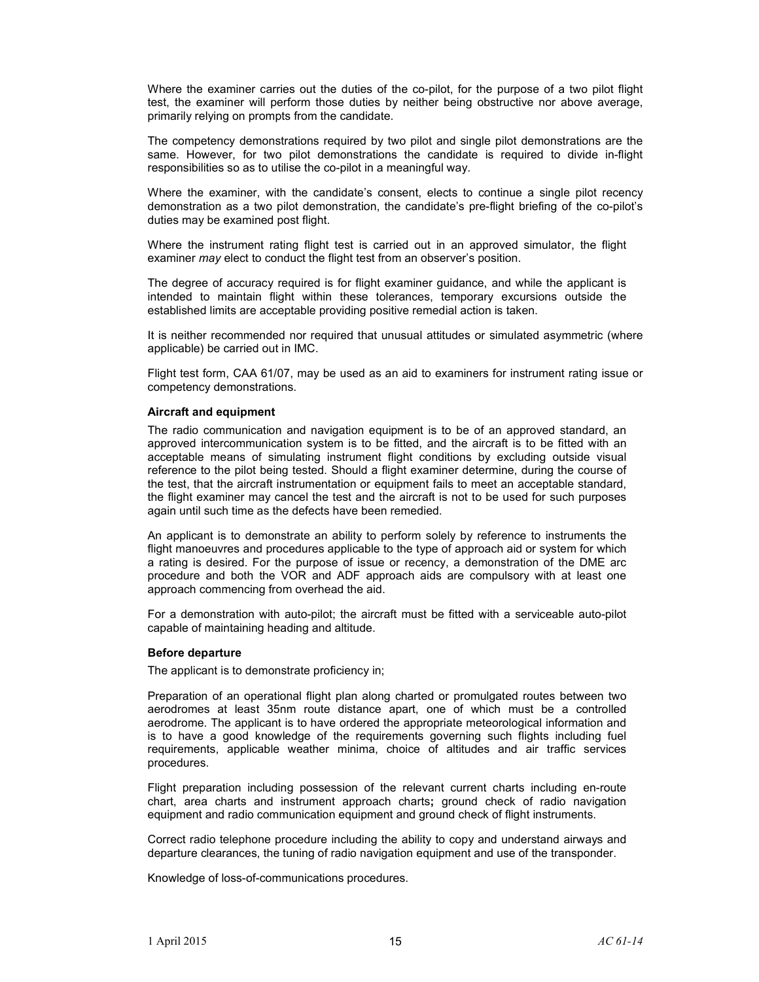Where the examiner carries out the duties of the co-pilot, for the purpose of a two pilot flight test, the examiner will perform those duties by neither being obstructive nor above average, primarily relying on prompts from the candidate.

The competency demonstrations required by two pilot and single pilot demonstrations are the same. However, for two pilot demonstrations the candidate is required to divide in-flight responsibilities so as to utilise the co-pilot in a meaningful way.

Where the examiner, with the candidate's consent, elects to continue a single pilot recency demonstration as a two pilot demonstration, the candidate's pre-flight briefing of the co-pilot's duties may be examined post flight.

Where the instrument rating flight test is carried out in an approved simulator, the flight examiner *may* elect to conduct the flight test from an observer's position.

The degree of accuracy required is for flight examiner guidance, and while the applicant is intended to maintain flight within these tolerances, temporary excursions outside the established limits are acceptable providing positive remedial action is taken.

It is neither recommended nor required that unusual attitudes or simulated asymmetric (where applicable) be carried out in IMC.

Flight test form, CAA 61/07, may be used as an aid to examiners for instrument rating issue or competency demonstrations.

### **Aircraft and equipment**

The radio communication and navigation equipment is to be of an approved standard, an approved intercommunication system is to be fitted, and the aircraft is to be fitted with an acceptable means of simulating instrument flight conditions by excluding outside visual reference to the pilot being tested. Should a flight examiner determine, during the course of the test, that the aircraft instrumentation or equipment fails to meet an acceptable standard, the flight examiner may cancel the test and the aircraft is not to be used for such purposes again until such time as the defects have been remedied.

An applicant is to demonstrate an ability to perform solely by reference to instruments the flight manoeuvres and procedures applicable to the type of approach aid or system for which a rating is desired. For the purpose of issue or recency, a demonstration of the DME arc procedure and both the VOR and ADF approach aids are compulsory with at least one approach commencing from overhead the aid.

For a demonstration with auto-pilot; the aircraft must be fitted with a serviceable auto-pilot capable of maintaining heading and altitude.

### **Before departure**

The applicant is to demonstrate proficiency in;

Preparation of an operational flight plan along charted or promulgated routes between two aerodromes at least 35nm route distance apart, one of which must be a controlled aerodrome. The applicant is to have ordered the appropriate meteorological information and is to have a good knowledge of the requirements governing such flights including fuel requirements, applicable weather minima, choice of altitudes and air traffic services procedures.

Flight preparation including possession of the relevant current charts including en-route chart, area charts and instrument approach charts**;** ground check of radio navigation equipment and radio communication equipment and ground check of flight instruments.

Correct radio telephone procedure including the ability to copy and understand airways and departure clearances, the tuning of radio navigation equipment and use of the transponder.

Knowledge of loss-of-communications procedures.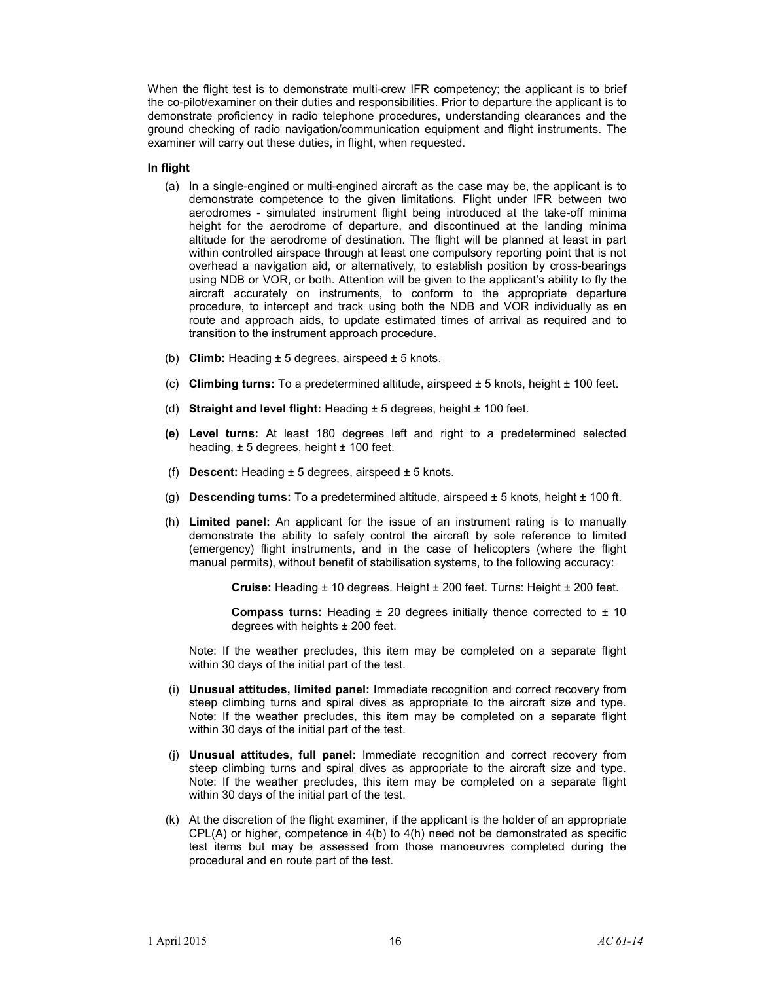When the flight test is to demonstrate multi-crew IFR competency; the applicant is to brief the co-pilot/examiner on their duties and responsibilities. Prior to departure the applicant is to demonstrate proficiency in radio telephone procedures, understanding clearances and the ground checking of radio navigation/communication equipment and flight instruments. The examiner will carry out these duties, in flight, when requested.

### **In flight**

- (a) In a single-engined or multi-engined aircraft as the case may be, the applicant is to demonstrate competence to the given limitations. Flight under IFR between two aerodromes - simulated instrument flight being introduced at the take-off minima height for the aerodrome of departure, and discontinued at the landing minima altitude for the aerodrome of destination. The flight will be planned at least in part within controlled airspace through at least one compulsory reporting point that is not overhead a navigation aid, or alternatively, to establish position by cross-bearings using NDB or VOR, or both. Attention will be given to the applicant's ability to fly the aircraft accurately on instruments, to conform to the appropriate departure procedure, to intercept and track using both the NDB and VOR individually as en route and approach aids, to update estimated times of arrival as required and to transition to the instrument approach procedure.
- (b) **Climb:** Heading ± 5 degrees, airspeed ± 5 knots.
- (c) **Climbing turns:** To a predetermined altitude, airspeed ± 5 knots, height ± 100 feet.
- (d) **Straight and level flight:** Heading ± 5 degrees, height ± 100 feet.
- **(e) Level turns:** At least 180 degrees left and right to a predetermined selected heading,  $\pm$  5 degrees, height  $\pm$  100 feet.
- (f) **Descent:** Heading ± 5 degrees, airspeed ± 5 knots.
- (g) **Descending turns:** To a predetermined altitude, airspeed ± 5 knots, height ± 100 ft.
- (h) **Limited panel:** An applicant for the issue of an instrument rating is to manually demonstrate the ability to safely control the aircraft by sole reference to limited (emergency) flight instruments, and in the case of helicopters (where the flight manual permits), without benefit of stabilisation systems, to the following accuracy:

**Cruise:** Heading ± 10 degrees. Height ± 200 feet. Turns: Height ± 200 feet.

**Compass turns:** Heading ± 20 degrees initially thence corrected to ± 10 degrees with heights  $\pm$  200 feet.

Note: If the weather precludes, this item may be completed on a separate flight within 30 days of the initial part of the test.

- (i) **Unusual attitudes, limited panel:** Immediate recognition and correct recovery from steep climbing turns and spiral dives as appropriate to the aircraft size and type. Note: If the weather precludes, this item may be completed on a separate flight within 30 days of the initial part of the test.
- (j) **Unusual attitudes, full panel:** Immediate recognition and correct recovery from steep climbing turns and spiral dives as appropriate to the aircraft size and type. Note: If the weather precludes, this item may be completed on a separate flight within 30 days of the initial part of the test.
- (k) At the discretion of the flight examiner, if the applicant is the holder of an appropriate CPL(A) or higher, competence in 4(b) to 4(h) need not be demonstrated as specific test items but may be assessed from those manoeuvres completed during the procedural and en route part of the test.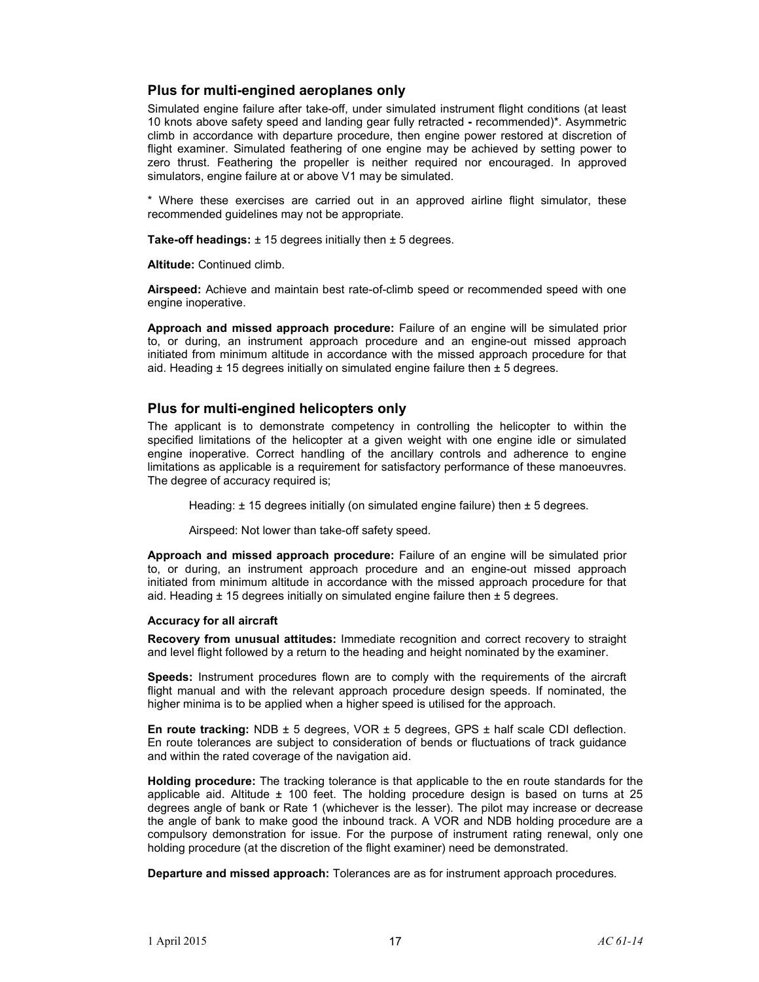### **Plus for multi-engined aeroplanes only**

Simulated engine failure after take-off, under simulated instrument flight conditions (at least 10 knots above safety speed and landing gear fully retracted **-** recommended)\*. Asymmetric climb in accordance with departure procedure, then engine power restored at discretion of flight examiner. Simulated feathering of one engine may be achieved by setting power to zero thrust. Feathering the propeller is neither required nor encouraged. In approved simulators, engine failure at or above V1 may be simulated.

\* Where these exercises are carried out in an approved airline flight simulator, these recommended guidelines may not be appropriate.

**Take-off headings:** ± 15 degrees initially then ± 5 degrees.

**Altitude:** Continued climb.

**Airspeed:** Achieve and maintain best rate-of-climb speed or recommended speed with one engine inoperative.

**Approach and missed approach procedure:** Failure of an engine will be simulated prior to, or during, an instrument approach procedure and an engine-out missed approach initiated from minimum altitude in accordance with the missed approach procedure for that aid. Heading  $± 15$  degrees initially on simulated engine failure then  $± 5$  degrees.

### **Plus for multi-engined helicopters only**

The applicant is to demonstrate competency in controlling the helicopter to within the specified limitations of the helicopter at a given weight with one engine idle or simulated engine inoperative. Correct handling of the ancillary controls and adherence to engine limitations as applicable is a requirement for satisfactory performance of these manoeuvres. The degree of accuracy required is;

Heading:  $\pm$  15 degrees initially (on simulated engine failure) then  $\pm$  5 degrees.

Airspeed: Not lower than take-off safety speed.

**Approach and missed approach procedure:** Failure of an engine will be simulated prior to, or during, an instrument approach procedure and an engine-out missed approach initiated from minimum altitude in accordance with the missed approach procedure for that aid. Heading  $\pm$  15 degrees initially on simulated engine failure then  $\pm$  5 degrees.

### **Accuracy for all aircraft**

**Recovery from unusual attitudes:** Immediate recognition and correct recovery to straight and level flight followed by a return to the heading and height nominated by the examiner.

**Speeds:** Instrument procedures flown are to comply with the requirements of the aircraft flight manual and with the relevant approach procedure design speeds. If nominated, the higher minima is to be applied when a higher speed is utilised for the approach.

**En route tracking:** NDB ± 5 degrees, VOR ± 5 degrees, GPS ± half scale CDI deflection. En route tolerances are subject to consideration of bends or fluctuations of track guidance and within the rated coverage of the navigation aid.

**Holding procedure:** The tracking tolerance is that applicable to the en route standards for the applicable aid. Altitude  $\pm$  100 feet. The holding procedure design is based on turns at 25 degrees angle of bank or Rate 1 (whichever is the lesser). The pilot may increase or decrease the angle of bank to make good the inbound track. A VOR and NDB holding procedure are a compulsory demonstration for issue. For the purpose of instrument rating renewal, only one holding procedure (at the discretion of the flight examiner) need be demonstrated.

**Departure and missed approach:** Tolerances are as for instrument approach procedures.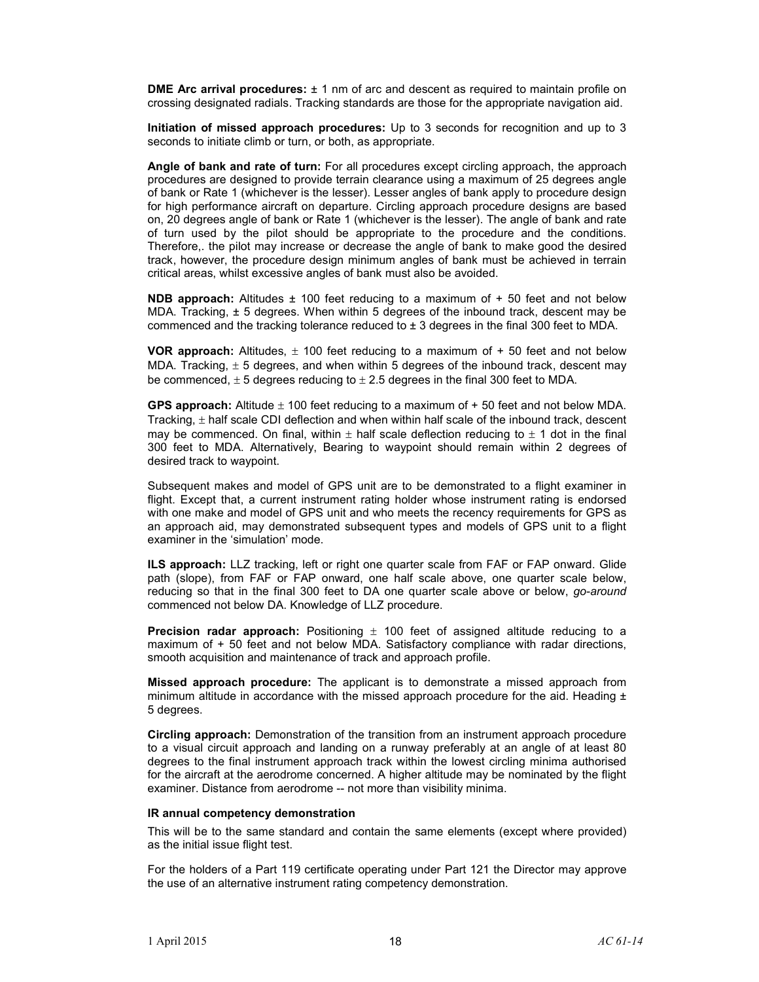**DME Arc arrival procedures:**  $\pm$  1 nm of arc and descent as required to maintain profile on crossing designated radials. Tracking standards are those for the appropriate navigation aid.

**Initiation of missed approach procedures:** Up to 3 seconds for recognition and up to 3 seconds to initiate climb or turn, or both, as appropriate.

**Angle of bank and rate of turn:** For all procedures except circling approach, the approach procedures are designed to provide terrain clearance using a maximum of 25 degrees angle of bank or Rate 1 (whichever is the lesser). Lesser angles of bank apply to procedure design for high performance aircraft on departure. Circling approach procedure designs are based on, 20 degrees angle of bank or Rate 1 (whichever is the lesser). The angle of bank and rate of turn used by the pilot should be appropriate to the procedure and the conditions. Therefore,. the pilot may increase or decrease the angle of bank to make good the desired track, however, the procedure design minimum angles of bank must be achieved in terrain critical areas, whilst excessive angles of bank must also be avoided.

**NDB approach:** Altitudes ± 100 feet reducing to a maximum of + 50 feet and not below MDA. Tracking,  $\pm$  5 degrees. When within 5 degrees of the inbound track, descent may be commenced and the tracking tolerance reduced to  $\pm$  3 degrees in the final 300 feet to MDA.

**VOR approach:** Altitudes,  $\pm$  100 feet reducing to a maximum of  $+$  50 feet and not below MDA. Tracking,  $\pm$  5 degrees, and when within 5 degrees of the inbound track, descent may be commenced,  $\pm 5$  degrees reducing to  $\pm 2.5$  degrees in the final 300 feet to MDA.

**GPS approach:** Altitude ± 100 feet reducing to a maximum of + 50 feet and not below MDA. Tracking,  $\pm$  half scale CDI deflection and when within half scale of the inbound track, descent may be commenced. On final, within  $\pm$  half scale deflection reducing to  $\pm$  1 dot in the final 300 feet to MDA. Alternatively, Bearing to waypoint should remain within 2 degrees of desired track to waypoint.

Subsequent makes and model of GPS unit are to be demonstrated to a flight examiner in flight. Except that, a current instrument rating holder whose instrument rating is endorsed with one make and model of GPS unit and who meets the recency requirements for GPS as an approach aid, may demonstrated subsequent types and models of GPS unit to a flight examiner in the 'simulation' mode.

**ILS approach:** LLZ tracking, left or right one quarter scale from FAF or FAP onward. Glide path (slope), from FAF or FAP onward, one half scale above, one quarter scale below, reducing so that in the final 300 feet to DA one quarter scale above or below, *go-around* commenced not below DA. Knowledge of LLZ procedure.

**Precision radar approach:** Positioning  $\pm$  100 feet of assigned altitude reducing to a maximum of + 50 feet and not below MDA. Satisfactory compliance with radar directions, smooth acquisition and maintenance of track and approach profile.

**Missed approach procedure:** The applicant is to demonstrate a missed approach from minimum altitude in accordance with the missed approach procedure for the aid. Heading  $\pm$ 5 degrees.

**Circling approach:** Demonstration of the transition from an instrument approach procedure to a visual circuit approach and landing on a runway preferably at an angle of at least 80 degrees to the final instrument approach track within the lowest circling minima authorised for the aircraft at the aerodrome concerned. A higher altitude may be nominated by the flight examiner. Distance from aerodrome -- not more than visibility minima.

### **IR annual competency demonstration**

This will be to the same standard and contain the same elements (except where provided) as the initial issue flight test.

For the holders of a Part 119 certificate operating under Part 121 the Director may approve the use of an alternative instrument rating competency demonstration.